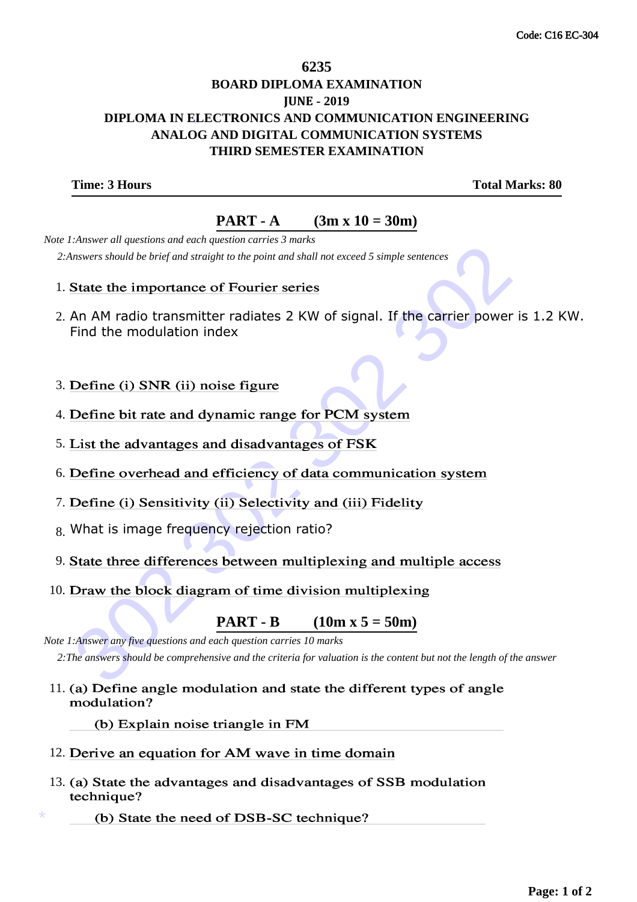## \* **DIPLOMA IN ELECTRONICS AND COMMUNICATION ENGINEERING 6235 BOARD DIPLOMA EXAMINATION JUNE - 2019 ANALOG AND DIGITAL COMMUNICATION SYSTEMS THIRD SEMESTER EXAMINATION**

**Time: 3 Hours Total Marks: 80** 

## **PART - A** (3m x  $10 = 30$ m)

 *Note 1:Answer all questions and each question carries 3 marks 2:Answers should be brief and straight to the point and shall not exceed 5 simple sentences*

- 1. State the importance of Fourier series
- shavers should be brief and straight to the point and shall not exceed 5 simple sentences<br>
State the importance of Fourier series<br>
An AM radio transmitter radiates 2 KW of signal. If the carrier power is<br>
Find the modulat 2. An AM radio transmitter radiates 2 KW of signal. If the carrier power is 1.2 KW. Find the modulation index
- 3. Define (i) SNR (ii) noise figure
- 4. Define bit rate and dynamic range for PCM system
- 5. List the advantages and disadvantages of FSK
- 6. Define overhead and efficiency of data communication system
- 7. Define (i) Sensitivity (ii) Selectivity and (iii) Fidelity
- 8. What is image frequency rejection ratio?
- 9. State three differences between multiplexing and multiple access
- 10. Draw the block diagram of time division multiplexing

**PART - B** (10m x  $5 = 50$ m)

 *Note 1:Answer any five questions and each question carries 10 marks 2:The answers should be comprehensive and the criteria for valuation is the content but not the length of the answer*

11. (a) Define angle modulation and state the different types of angle modulation?

(b) Explain noise triangle in FM

- 12. Derive an equation for AM wave in time domain
- 13. (a) State the advantages and disadvantages of SSB modulation technique?
	- (b) State the need of DSB-SC technique?